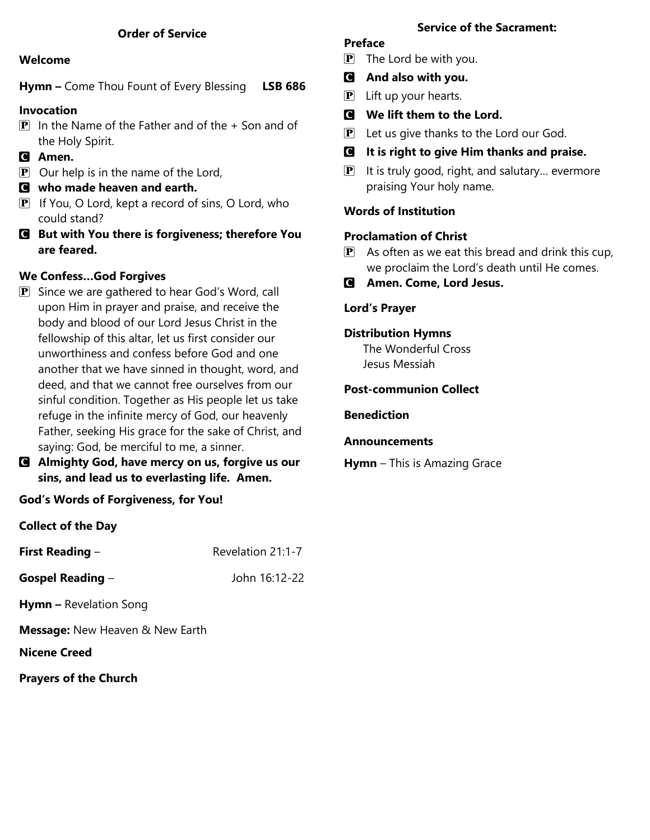## **Order of Service**

#### **Welcome**

**Hymn –** Come Thou Fount of Every Blessing **LSB 686**

## **Invocation**

- $\boxed{\mathbf{P}}$  In the Name of the Father and of the + Son and of the Holy Spirit.
- C **Amen.**
- $\mathbf{P}$  Our help is in the name of the Lord,
- C **who made heaven and earth.**
- $\mathbf{P}$  If You, O Lord, kept a record of sins, O Lord, who could stand?
- C **But with You there is forgiveness; therefore You are feared.**

## **We Confess…God Forgives**

- **P** Since we are gathered to hear God's Word, call upon Him in prayer and praise, and receive the body and blood of our Lord Jesus Christ in the fellowship of this altar, let us first consider our unworthiness and confess before God and one another that we have sinned in thought, word, and deed, and that we cannot free ourselves from our sinful condition. Together as His people let us take refuge in the infinite mercy of God, our heavenly Father, seeking His grace for the sake of Christ, and saying: God, be merciful to me, a sinner.
- C **Almighty God, have mercy on us, forgive us our sins, and lead us to everlasting life. Amen.**

**God's Words of Forgiveness, for You!**

**Collect of the Day**

| <b>First Reading -</b>                 | Revelation 21:1-7 |
|----------------------------------------|-------------------|
| Gospel Reading $-$                     | John 16:12-22     |
| <b>Hymn - Revelation Song</b>          |                   |
| <b>Message:</b> New Heaven & New Earth |                   |
| Nicene Creed                           |                   |

**Prayers of the Church**

## **Service of the Sacrament:**

## **Preface**

- $\mathbf{P}$  The Lord be with you.
- C **And also with you.**
- $\left| \mathbf{P} \right|$  Lift up your hearts.
- C **We lift them to the Lord.**
- $\mathbf{P}$  Let us give thanks to the Lord our God.
- C **It is right to give Him thanks and praise.**
- $\mathbf{P}$  It is truly good, right, and salutary... evermore praising Your holy name.

## **Words of Institution**

## **Proclamation of Christ**

- $\mathbf{P}$  As often as we eat this bread and drink this cup, we proclaim the Lord's death until He comes.
- C **Amen. Come, Lord Jesus.**

## **Lord's Prayer**

#### **Distribution Hymns**

The Wonderful Cross Jesus Messiah

#### **Post-communion Collect**

## **Benediction**

# **Announcements**

**Hymn** – This is Amazing Grace